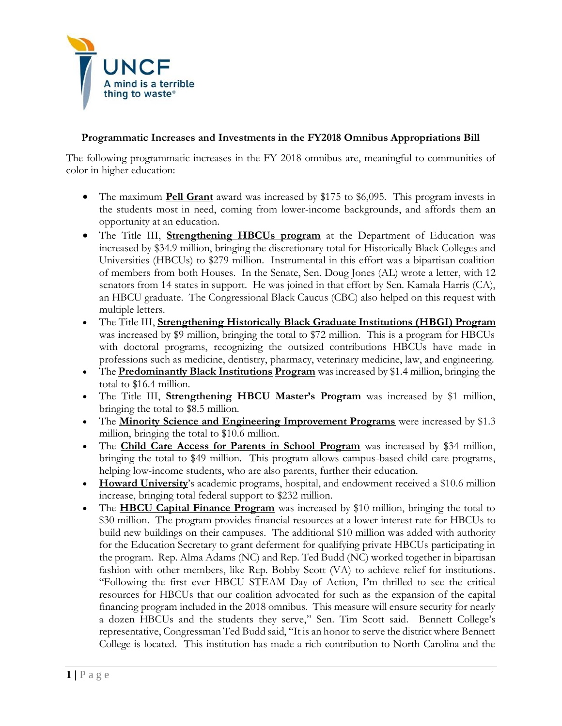

## **Programmatic Increases and Investments in the FY2018 Omnibus Appropriations Bill**

The following programmatic increases in the FY 2018 omnibus are, meaningful to communities of color in higher education:

- The maximum **Pell Grant** award was increased by \$175 to \$6,095. This program invests in the students most in need, coming from lower-income backgrounds, and affords them an opportunity at an education.
- The Title III, **Strengthening HBCUs program** at the Department of Education was increased by \$34.9 million, bringing the discretionary total for Historically Black Colleges and Universities (HBCUs) to \$279 million. Instrumental in this effort was a bipartisan coalition of members from both Houses. In the Senate, Sen. Doug Jones (AL) wrote a letter, with 12 senators from 14 states in support. He was joined in that effort by Sen. Kamala Harris (CA), an HBCU graduate. The Congressional Black Caucus (CBC) also helped on this request with multiple letters.
- The Title III, **Strengthening Historically Black Graduate Institutions (HBGI) Program** was increased by \$9 million, bringing the total to \$72 million. This is a program for HBCUs with doctoral programs, recognizing the outsized contributions HBCUs have made in professions such as medicine, dentistry, pharmacy, veterinary medicine, law, and engineering.
- The **Predominantly Black Institutions Program** was increased by \$1.4 million, bringing the total to \$16.4 million.
- The Title III, **Strengthening HBCU Master's Program** was increased by \$1 million, bringing the total to \$8.5 million.
- The **Minority Science and Engineering Improvement Programs** were increased by \$1.3 million, bringing the total to \$10.6 million.
- The **Child Care Access for Parents in School Program** was increased by \$34 million, bringing the total to \$49 million. This program allows campus-based child care programs, helping low-income students, who are also parents, further their education.
- **Howard University**'s academic programs, hospital, and endowment received a \$10.6 million increase, bringing total federal support to \$232 million.
- The **HBCU Capital Finance Program** was increased by \$10 million, bringing the total to \$30 million. The program provides financial resources at a lower interest rate for HBCUs to build new buildings on their campuses. The additional \$10 million was added with authority for the Education Secretary to grant deferment for qualifying private HBCUs participating in the program. Rep. Alma Adams (NC) and Rep. Ted Budd (NC) worked together in bipartisan fashion with other members, like Rep. Bobby Scott (VA) to achieve relief for institutions. "Following the first ever HBCU STEAM Day of Action, I'm thrilled to see the critical resources for HBCUs that our coalition advocated for such as the expansion of the capital financing program included in the 2018 omnibus. This measure will ensure security for nearly a dozen HBCUs and the students they serve," Sen. Tim Scott said. Bennett College's representative, Congressman Ted Budd said, "It is an honor to serve the district where Bennett College is located. This institution has made a rich contribution to North Carolina and the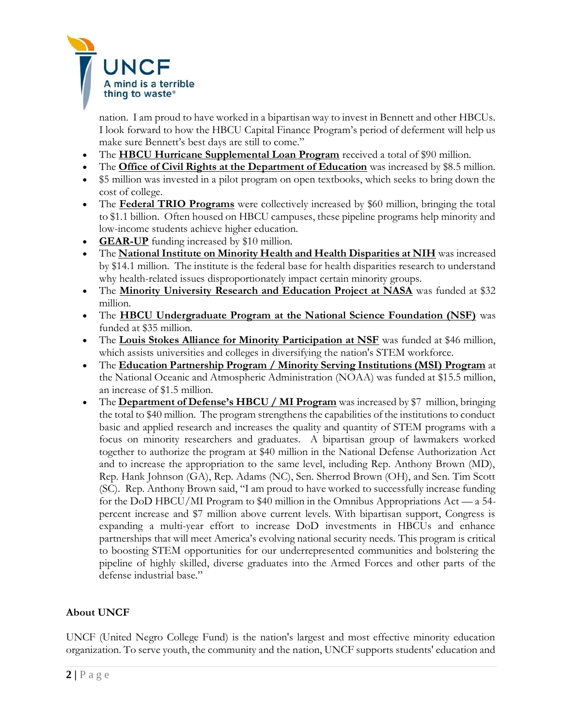

nation. I am proud to have worked in a bipartisan way to invest in Bennett and other HBCUs. I look forward to how the HBCU Capital Finance Program's period of deferment will help us make sure Bennett's best days are still to come."

- The **HBCU Hurricane Supplemental Loan Program** received a total of \$90 million.
- The **Office of Civil Rights at the Department of Education** was increased by \$8.5 million.
- \$5 million was invested in a pilot program on open textbooks, which seeks to bring down the cost of college.
- The **Federal TRIO Programs** were collectively increased by \$60 million, bringing the total to \$1.1 billion. Often housed on HBCU campuses, these pipeline programs help minority and low-income students achieve higher education.
- **GEAR-UP** funding increased by \$10 million.
- The **National Institute on Minority Health and Health Disparities at NIH** was increased by \$14.1 million. The institute is the federal base for health disparities research to understand why health-related issues disproportionately impact certain minority groups.
- The **Minority University Research and Education Project at NASA** was funded at \$32 million.
- The **HBCU Undergraduate Program at the National Science Foundation (NSF)** was funded at \$35 million.
- The **Louis Stokes Alliance for Minority Participation at NSF** was funded at \$46 million, which assists universities and colleges in diversifying the nation's STEM workforce.
- The **Education Partnership Program / Minority Serving Institutions (MSI) Program** at the National Oceanic and Atmospheric Administration (NOAA) was funded at \$15.5 million, an increase of \$1.5 million.
- The **Department of Defense's HBCU / MI Program** was increased by \$7 million, bringing the total to \$40 million. The program strengthens the capabilities of the institutions to conduct basic and applied research and increases the quality and quantity of STEM programs with a focus on minority researchers and graduates. A bipartisan group of lawmakers worked together to authorize the program at \$40 million in the National Defense Authorization Act and to increase the appropriation to the same level, including Rep. Anthony Brown (MD), Rep. Hank Johnson (GA), Rep. Adams (NC), Sen. Sherrod Brown (OH), and Sen. Tim Scott (SC). Rep. Anthony Brown said, "I am proud to have worked to successfully increase funding for the DoD HBCU/MI Program to \$40 million in the Omnibus Appropriations Act — a 54 percent increase and \$7 million above current levels. With bipartisan support, Congress is expanding a multi-year effort to increase DoD investments in HBCUs and enhance partnerships that will meet America's evolving national security needs. This program is critical to boosting STEM opportunities for our underrepresented communities and bolstering the pipeline of highly skilled, diverse graduates into the Armed Forces and other parts of the defense industrial base."

## **About UNCF**

UNCF (United Negro College Fund) is the nation's largest and most effective minority education organization. To serve youth, the community and the nation, UNCF supports students' education and